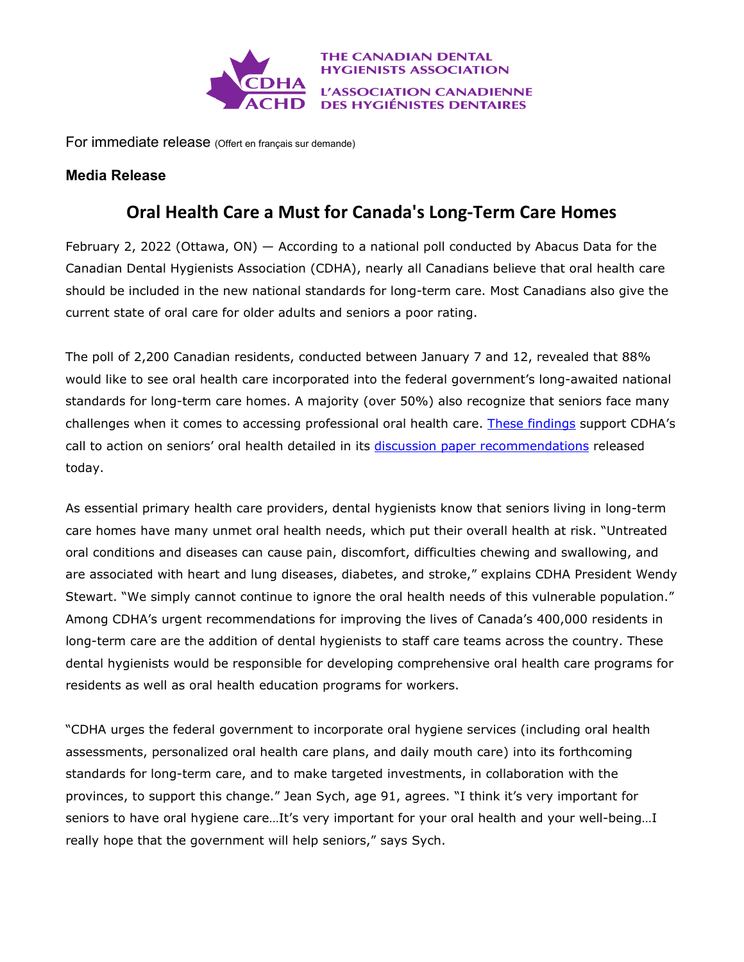

For immediate release (Offert en français sur demande)

## **Media Release**

## **Oral Health Care a Must for Canada's Long-Term Care Homes**

February 2, 2022 (Ottawa, ON) — According to a national poll conducted by Abacus Data for the Canadian Dental Hygienists Association (CDHA), nearly all Canadians believe that oral health care should be included in the new national standards for long-term care. Most Canadians also give the current state of oral care for older adults and seniors a poor rating.

The poll of 2,200 Canadian residents, conducted between January 7 and 12, revealed that 88% would like to see oral health care incorporated into the federal government's long-awaited national standards for long-term care homes. A majority (over 50%) also recognize that seniors face many challenges when it comes to accessing professional oral health care. [These findings](https://files.cdha.ca/profession/policy/CDHA_Seniors_Oral_Health-Results-January_2022.pdf) support CDHA's call to action on seniors' oral health detailed in its discussion paper [recommendations](https://files.cdha.ca/Profession/Policy/National_standards_for_long-term_care_Nov2021.pdf) released today.

As essential primary health care providers, dental hygienists know that seniors living in long-term care homes have many unmet oral health needs, which put their overall health at risk. "Untreated oral conditions and diseases can cause pain, discomfort, difficulties chewing and swallowing, and are associated with heart and lung diseases, diabetes, and stroke," explains CDHA President Wendy Stewart. "We simply cannot continue to ignore the oral health needs of this vulnerable population." Among CDHA's urgent recommendations for improving the lives of Canada's 400,000 residents in long-term care are the addition of dental hygienists to staff care teams across the country. These dental hygienists would be responsible for developing comprehensive oral health care programs for residents as well as oral health education programs for workers.

"CDHA urges the federal government to incorporate oral hygiene services (including oral health assessments, personalized oral health care plans, and daily mouth care) into its forthcoming standards for long-term care, and to make targeted investments, in collaboration with the provinces, to support this change." Jean Sych, age 91, agrees. "I think it's very important for seniors to have oral hygiene care...It's very important for your oral health and your well-being...I really hope that the government will help seniors," says Sych.